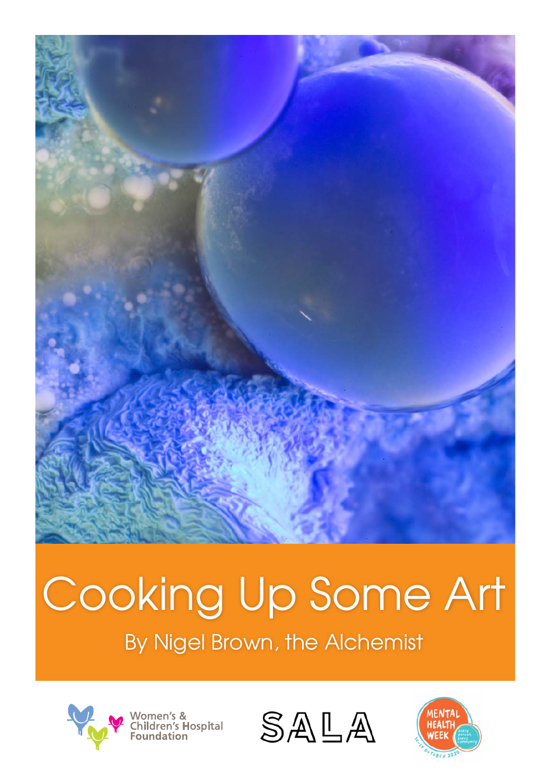

## Cooking Up Some Art<br>By Nigel Brown, the Alchemist





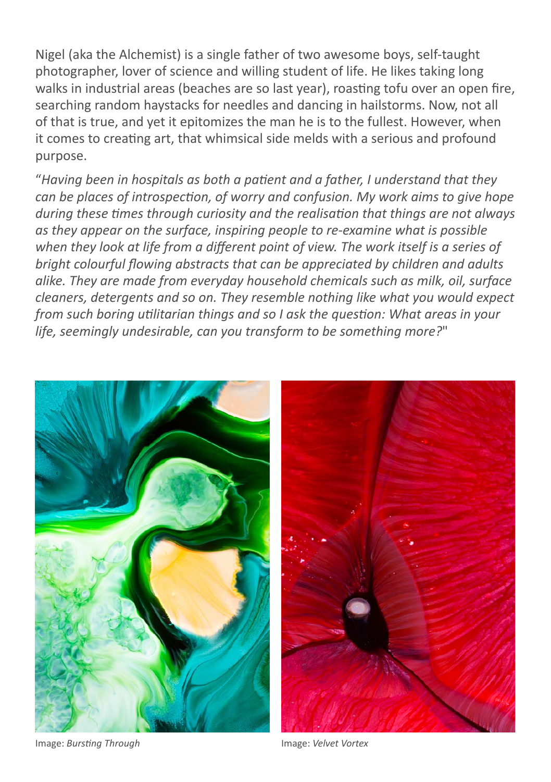Nigel (aka the Alchemist) is a single father of two awesome boys, self-taught photographer, lover of science and willing student of life. He likes taking long walks in industrial areas (beaches are so last year), roasting tofu over an open fire, searching random haystacks for needles and dancing in hailstorms. Now, not all of that is true, and yet it epitomizes the man he is to the fullest. However, when it comes to creating art, that whimsical side melds with a serious and profound purpose.

"*Having been in hospitals as both a patient and a father, I understand that they can be places of introspection, of worry and confusion. My work aims to give hope during these times through curiosity and the realisation that things are not always as they appear on the surface, inspiring people to re-examine what is possible when they look at life from a different point of view. The work itself is a series of bright colourful flowing abstracts that can be appreciated by children and adults alike. They are made from everyday household chemicals such as milk, oil, surface cleaners, detergents and so on. They resemble nothing like what you would expect from such boring utilitarian things and so I ask the question: What areas in your life, seemingly undesirable, can you transform to be something more?*"



Image: *Bursting Through* Image: *Velvet Vortex*

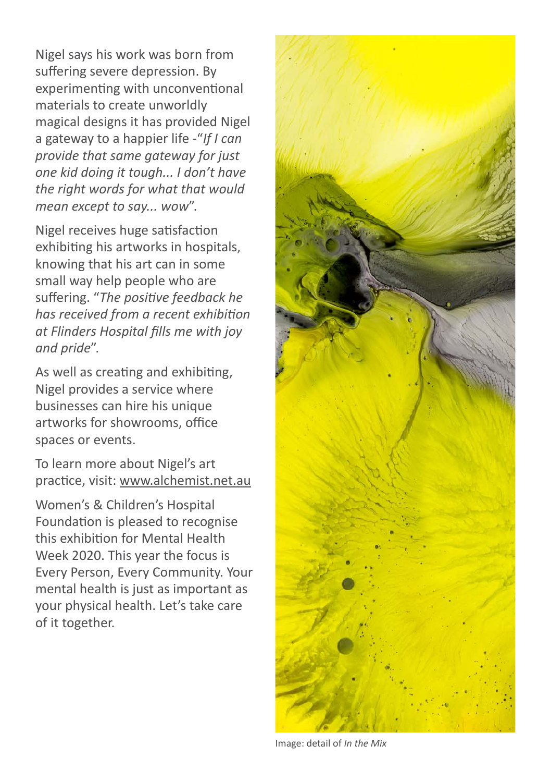Nigel says his work was born from suffering severe depression. By experimenting with unconventional materials to create unworldly magical designs it has provided Nigel a gateway to a happier life -"*If I can provide that same gateway for just one kid doing it tough... I don't have the right words for what that would mean except to say... wow*".

Nigel receives huge satisfaction exhibiting his artworks in hospitals, knowing that his art can in some small way help people who are suffering. "*The positive feedback he has received from a recent exhibition at Flinders Hospital fills me with joy and pride*".

As well as creating and exhibiting, Nigel provides a service where businesses can hire his unique artworks for showrooms, office spaces or events.

To learn more about Nigel's art practice, visit: www.alchemist.net.au

Women's & Children's Hospital Foundation is pleased to recognise this exhibition for Mental Health Week 2020. This year the focus is Every Person, Every Community. Your mental health is just as important as your physical health. Let's take care of it together.



Image: detail of *In the Mix*